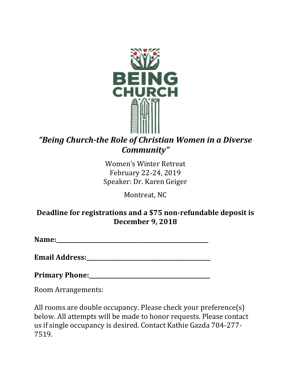

# *"Being Church-the Role of Christian Women in a Diverse Community"*

Women's Winter Retreat February 22-24, 2019 Speaker: Dr. Karen Geiger

Montreat, NC

## **Deadline for registrations and a \$75 non-refundable deposit is December 9, 2018**

**Name:\_\_\_\_\_\_\_\_\_\_\_\_\_\_\_\_\_\_\_\_\_\_\_\_\_\_\_\_\_\_\_\_\_\_\_\_\_\_\_\_\_\_\_\_\_\_\_\_\_\_\_\_\_\_**

**Email Address:** 

**Primary Phone:\_\_\_\_\_\_\_\_\_\_\_\_\_\_\_\_\_\_\_\_\_\_\_\_\_\_\_\_\_\_\_\_\_\_\_\_\_\_\_\_\_\_\_**

Room Arrangements:

All rooms are double occupancy. Please check your preference(s) below. All attempts will be made to honor requests. Please contact us if single occupancy is desired. Contact Kathie Gazda 704-277- 7519.